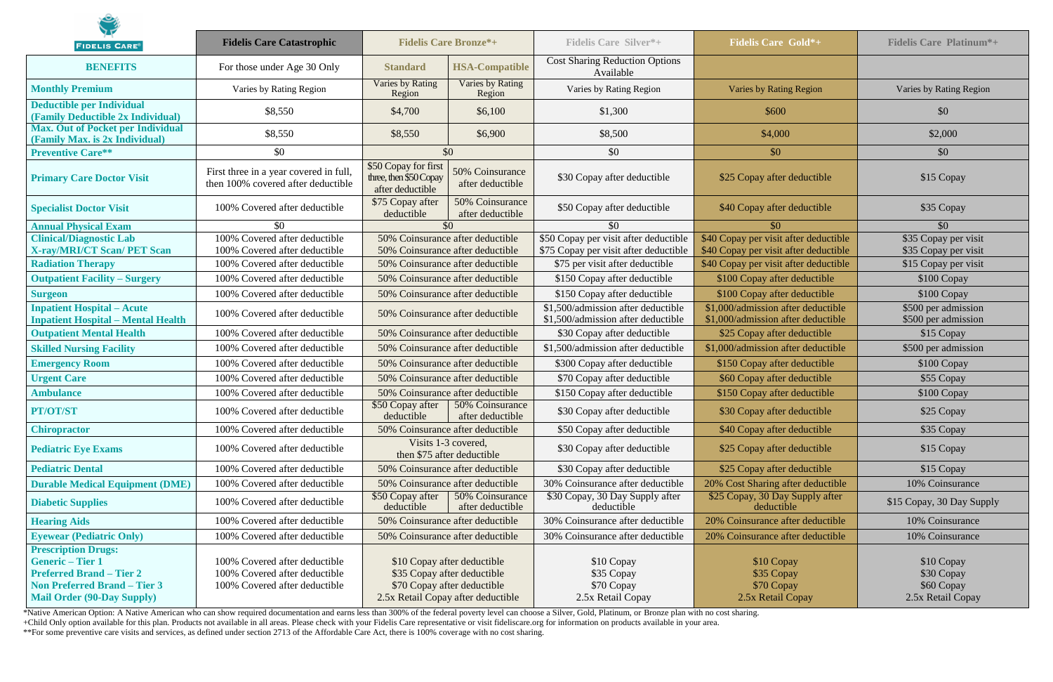| $\mathbf{v}$                                                                                                                                                         |                                                                                                 |                                                                                                                                 |                                                        |                                                                          |                                                                          |                                                             |
|----------------------------------------------------------------------------------------------------------------------------------------------------------------------|-------------------------------------------------------------------------------------------------|---------------------------------------------------------------------------------------------------------------------------------|--------------------------------------------------------|--------------------------------------------------------------------------|--------------------------------------------------------------------------|-------------------------------------------------------------|
| <b>FIDELIS CARE®</b>                                                                                                                                                 | <b>Fidelis Care Catastrophic</b>                                                                | <b>Fidelis Care Bronze*+</b>                                                                                                    |                                                        | <b>Fidelis Care Silver*+</b>                                             | <b>Fidelis Care Gold*+</b>                                               | <b>Fidelis Care Platinum*+</b>                              |
| <b>BENEFITS</b>                                                                                                                                                      | For those under Age 30 Only                                                                     | <b>Standard</b>                                                                                                                 | <b>HSA-Compatible</b>                                  | <b>Cost Sharing Reduction Options</b><br>Available                       |                                                                          |                                                             |
| <b>Monthly Premium</b>                                                                                                                                               | Varies by Rating Region                                                                         | Varies by Rating<br>Region                                                                                                      | Varies by Rating<br>Region                             | Varies by Rating Region                                                  | Varies by Rating Region                                                  | Varies by Rating Region                                     |
| <b>Deductible per Individual</b><br>(Family Deductible 2x Individual)                                                                                                | \$8,550                                                                                         | \$4,700                                                                                                                         | \$6,100                                                | \$1,300                                                                  | \$600                                                                    | \$0                                                         |
| <b>Max. Out of Pocket per Individual</b><br>(Family Max. is 2x Individual)                                                                                           | \$8,550                                                                                         | \$8,550                                                                                                                         | \$6,900                                                | \$8,500                                                                  | \$4,000                                                                  | \$2,000                                                     |
| <b>Preventive Care**</b>                                                                                                                                             | \$0                                                                                             | \$0                                                                                                                             |                                                        | \$0                                                                      | \$0                                                                      | \$0                                                         |
| <b>Primary Care Doctor Visit</b>                                                                                                                                     | First three in a year covered in full,<br>then 100% covered after deductible                    | \$50 Copay for first<br>three, then \$50 Copay<br>after deductible                                                              | 50% Coinsurance<br>after deductible                    | \$30 Copay after deductible                                              | \$25 Copay after deductible                                              | \$15 Copay                                                  |
| <b>Specialist Doctor Visit</b>                                                                                                                                       | 100% Covered after deductible                                                                   | \$75 Copay after<br>deductible                                                                                                  | 50% Coinsurance<br>after deductible                    | \$50 Copay after deductible                                              | \$40 Copay after deductible                                              | \$35 Copay                                                  |
| <b>Annual Physical Exam</b>                                                                                                                                          | \$0                                                                                             | \$0                                                                                                                             |                                                        | \$0                                                                      | \$0                                                                      | \$0                                                         |
| <b>Clinical/Diagnostic Lab</b>                                                                                                                                       | 100% Covered after deductible                                                                   | 50% Coinsurance after deductible                                                                                                |                                                        | \$50 Copay per visit after deductible                                    | \$40 Copay per visit after deductible                                    | \$35 Copay per visit                                        |
| <b>X-ray/MRI/CT Scan/ PET Scan</b>                                                                                                                                   | 100% Covered after deductible                                                                   | 50% Coinsurance after deductible                                                                                                |                                                        | \$75 Copay per visit after deductible                                    | \$40 Copay per visit after deductible                                    | \$35 Copay per visit                                        |
| <b>Radiation Therapy</b>                                                                                                                                             | 100% Covered after deductible                                                                   | 50% Coinsurance after deductible                                                                                                |                                                        | \$75 per visit after deductible                                          | \$40 Copay per visit after deductible                                    | \$15 Copay per visit                                        |
| <b>Outpatient Facility - Surgery</b>                                                                                                                                 | 100% Covered after deductible                                                                   | 50% Coinsurance after deductible                                                                                                |                                                        | \$150 Copay after deductible                                             | \$100 Copay after deductible                                             | \$100 Copay                                                 |
| <b>Surgeon</b>                                                                                                                                                       | 100% Covered after deductible                                                                   | 50% Coinsurance after deductible                                                                                                |                                                        | \$150 Copay after deductible                                             | \$100 Copay after deductible                                             | \$100 Copay                                                 |
| <b>Inpatient Hospital – Acute</b><br><b>Inpatient Hospital - Mental Health</b>                                                                                       | 100% Covered after deductible                                                                   | 50% Coinsurance after deductible                                                                                                |                                                        | \$1,500/admission after deductible<br>\$1,500/admission after deductible | \$1,000/admission after deductible<br>\$1,000/admission after deductible | \$500 per admission<br>\$500 per admission                  |
| <b>Outpatient Mental Health</b>                                                                                                                                      | 100% Covered after deductible                                                                   | 50% Coinsurance after deductible                                                                                                |                                                        | \$30 Copay after deductible                                              | \$25 Copay after deductible                                              | \$15 Copay                                                  |
| <b>Skilled Nursing Facility</b>                                                                                                                                      | 100% Covered after deductible                                                                   | 50% Coinsurance after deductible                                                                                                |                                                        | \$1,500/admission after deductible                                       | \$1,000/admission after deductible                                       | \$500 per admission                                         |
| <b>Emergency Room</b>                                                                                                                                                | 100% Covered after deductible                                                                   | 50% Coinsurance after deductible                                                                                                |                                                        | \$300 Copay after deductible                                             | \$150 Copay after deductible                                             | \$100 Copay                                                 |
| <b>Urgent Care</b>                                                                                                                                                   | 100% Covered after deductible                                                                   | 50% Coinsurance after deductible                                                                                                |                                                        | \$70 Copay after deductible                                              | \$60 Copay after deductible                                              | \$55 Copay                                                  |
| <b>Ambulance</b>                                                                                                                                                     | 100% Covered after deductible                                                                   | 50% Coinsurance after deductible                                                                                                |                                                        | \$150 Copay after deductible                                             | \$150 Copay after deductible                                             | \$100 Copay                                                 |
| PT/OT/ST                                                                                                                                                             | 100% Covered after deductible                                                                   | deductible                                                                                                                      | \$50 Copay after   50% Coinsurance<br>after deductible | \$30 Copay after deductible                                              | \$30 Copay after deductible                                              | \$25 Copay                                                  |
| <b>Chiropractor</b>                                                                                                                                                  | 100% Covered after deductible                                                                   |                                                                                                                                 | 50% Coinsurance after deductible                       | \$50 Copay after deductible                                              | \$40 Copay after deductible                                              | \$35 Copay                                                  |
| <b>Pediatric Eye Exams</b>                                                                                                                                           | 100% Covered after deductible                                                                   | Visits 1-3 covered,<br>then \$75 after deductible                                                                               |                                                        | \$30 Copay after deductible                                              | \$25 Copay after deductible                                              | \$15 Copay                                                  |
| <b>Pediatric Dental</b>                                                                                                                                              | 100% Covered after deductible                                                                   | 50% Coinsurance after deductible                                                                                                |                                                        | \$30 Copay after deductible                                              | \$25 Copay after deductible                                              | \$15 Copay                                                  |
| <b>Durable Medical Equipment (DME)</b>                                                                                                                               | 100% Covered after deductible                                                                   | 50% Coinsurance after deductible                                                                                                |                                                        | 30% Coinsurance after deductible                                         | 20% Cost Sharing after deductible                                        | 10% Coinsurance                                             |
| <b>Diabetic Supplies</b>                                                                                                                                             | 100% Covered after deductible                                                                   | \$50 Copay after<br>deductible                                                                                                  | 50% Coinsurance<br>after deductible                    | \$30 Copay, 30 Day Supply after<br>deductible                            | \$25 Copay, 30 Day Supply after<br>deductible                            | \$15 Copay, 30 Day Supply                                   |
| <b>Hearing Aids</b>                                                                                                                                                  | 100% Covered after deductible                                                                   | 50% Coinsurance after deductible                                                                                                |                                                        | 30% Coinsurance after deductible                                         | 20% Coinsurance after deductible                                         | 10% Coinsurance                                             |
| <b>Eyewear (Pediatric Only)</b>                                                                                                                                      | 100% Covered after deductible                                                                   | 50% Coinsurance after deductible                                                                                                |                                                        | 30% Coinsurance after deductible                                         | 20% Coinsurance after deductible                                         | 10% Coinsurance                                             |
| <b>Prescription Drugs:</b><br><b>Generic</b> – Tier 1<br><b>Preferred Brand – Tier 2</b><br><b>Non Preferred Brand - Tier 3</b><br><b>Mail Order (90-Day Supply)</b> | 100% Covered after deductible<br>100% Covered after deductible<br>100% Covered after deductible | \$10 Copay after deductible<br>\$35 Copay after deductible<br>\$70 Copay after deductible<br>2.5x Retail Copay after deductible |                                                        | \$10 Copay<br>\$35 Copay<br>\$70 Copay<br>2.5x Retail Copay              | \$10 Copay<br>\$35 Copay<br>\$70 Copay<br>2.5x Retail Copay              | \$10 Copay<br>\$30 Copay<br>\$60 Copay<br>2.5x Retail Copay |

\*Native American Option: A Native American who can show required documentation and earns less than 300% of the federal poverty level can choose a Silver, Gold, Platinum, or Bronze plan with no cost sharing. +Child Only option available for this plan. Products not available in all areas. Please check with your Fidelis Care representative or visit fideliscare.org for information on products available in your area. \*\*For some preventive care visits and services, as defined under section 2713 of the Affordable Care Act, there is 100% coverage with no cost sharing.

 $\bullet$